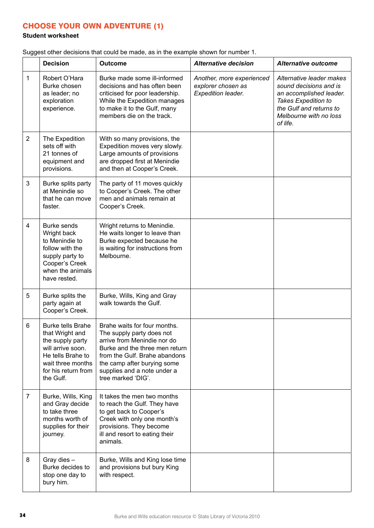## CHOOSE YOUR OWN ADVENTURE (1)

## **Student worksheet**

Suggest other decisions that could be made, as in the example shown for number 1.

|                | <b>Decision</b>                                                                                                                                                    | <b>Outcome</b>                                                                                                                                                                                                                                  | <b>Alternative decision</b>                                           | <b>Alternative outcome</b>                                                                                                                                            |
|----------------|--------------------------------------------------------------------------------------------------------------------------------------------------------------------|-------------------------------------------------------------------------------------------------------------------------------------------------------------------------------------------------------------------------------------------------|-----------------------------------------------------------------------|-----------------------------------------------------------------------------------------------------------------------------------------------------------------------|
| 1              | Robert O'Hara<br>Burke chosen<br>as leader; no<br>exploration<br>experience.                                                                                       | Burke made some ill-informed<br>decisions and has often been<br>criticised for poor leadership.<br>While the Expedition manages<br>to make it to the Gulf, many<br>members die on the track.                                                    | Another, more experienced<br>explorer chosen as<br>Expedition leader. | Alternative leader makes<br>sound decisions and is<br>an accomplished leader.<br>Takes Expedition to<br>the Gulf and returns to<br>Melbourne with no loss<br>of life. |
| $\overline{2}$ | The Expedition<br>sets off with<br>21 tonnes of<br>equipment and<br>provisions.                                                                                    | With so many provisions, the<br>Expedition moves very slowly.<br>Large amounts of provisions<br>are dropped first at Menindie<br>and then at Cooper's Creek.                                                                                    |                                                                       |                                                                                                                                                                       |
| $\mathbf{3}$   | Burke splits party<br>at Menindie so<br>that he can move<br>faster.                                                                                                | The party of 11 moves quickly<br>to Cooper's Creek. The other<br>men and animals remain at<br>Cooper's Creek.                                                                                                                                   |                                                                       |                                                                                                                                                                       |
| 4              | Burke sends<br>Wright back<br>to Menindie to<br>follow with the<br>supply party to<br>Cooper's Creek<br>when the animals<br>have rested.                           | Wright returns to Menindie.<br>He waits longer to leave than<br>Burke expected because he<br>is waiting for instructions from<br>Melbourne.                                                                                                     |                                                                       |                                                                                                                                                                       |
| 5              | Burke splits the<br>party again at<br>Cooper's Creek.                                                                                                              | Burke, Wills, King and Gray<br>walk towards the Gulf.                                                                                                                                                                                           |                                                                       |                                                                                                                                                                       |
| 6              | <b>Burke tells Brahe</b><br>that Wright and<br>the supply party<br>will arrive soon.<br>He tells Brahe to<br>wait three months<br>for his return from<br>the Gulf. | Brahe waits for four months.<br>The supply party does not<br>arrive from Menindie nor do<br>Burke and the three men return<br>from the Gulf. Brahe abandons<br>the camp after burying some<br>supplies and a note under a<br>tree marked 'DIG'. |                                                                       |                                                                                                                                                                       |
| $\overline{7}$ | Burke, Wills, King<br>and Gray decide<br>to take three<br>months worth of<br>supplies for their<br>journey.                                                        | It takes the men two months<br>to reach the Gulf. They have<br>to get back to Cooper's<br>Creek with only one month's<br>provisions. They become<br>ill and resort to eating their<br>animals.                                                  |                                                                       |                                                                                                                                                                       |
| 8              | Gray dies -<br>Burke decides to<br>stop one day to<br>bury him.                                                                                                    | Burke, Wills and King lose time<br>and provisions but bury King<br>with respect.                                                                                                                                                                |                                                                       |                                                                                                                                                                       |